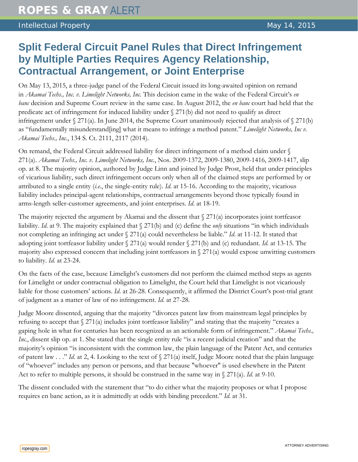## **Split Federal Circuit Panel Rules that Direct Infringement by Multiple Parties Requires Agency Relationship, Contractual Arrangement, or Joint Enterprise**

On May 13, 2015, a three-judge panel of the Federal Circuit issued its long-awaited opinion on remand in *Akamai Techs., Inc. v. Limelight Networks, Inc.* This decision came in the wake of the Federal Circuit's *en banc* decision and Supreme Court review in the same case. In August 2012, the *en banc* court had held that the predicate act of infringement for induced liability under  $\S 271(b)$  did not need to qualify as direct infringement under  $\sqrt{271(a)}$ . In June 2014, the Supreme Court unanimously rejected that analysis of  $\sqrt{271(b)}$ as "fundamentally misunderstand[ing] what it means to infringe a method patent." *Limelight Networks, Inc v. Akamai Techs., Inc.*, 134 S. Ct. 2111, 2117 (2014).

On remand, the Federal Circuit addressed liability for direct infringement of a method claim under § 271(a). *Akamai Techs., Inc. v. Limelight Networks, Inc.*, Nos. 2009-1372, 2009-1380, 2009-1416, 2009-1417, slip op. at 8. The majority opinion, authored by Judge Linn and joined by Judge Prost, held that under principles of vicarious liability, such direct infringement occurs only when all of the claimed steps are performed by or attributed to a single entity (*i.e.*, the single-entity rule). *Id*. at 15-16. According to the majority, vicarious liability includes principal-agent relationships, contractual arrangements beyond those typically found in arms-length seller-customer agreements, and joint enterprises. *Id*. at 18-19.

The majority rejected the argument by Akamai and the dissent that  $\frac{271}{a}$  incorporates joint tortfeasor liability. *Id*. at 9. The majority explained that § 271(b) and (c) define the *only* situations "in which individuals not completing an infringing act under § 271(a) could nevertheless be liable." *Id*. at 11-12. It stated that adopting joint tortfeasor liability under § 271(a) would render § 271(b) and (c) redundant. *Id*. at 13-15. The majority also expressed concern that including joint tortfeasors in § 271(a) would expose unwitting customers to liability. *Id*. at 23-24.

On the facts of the case, because Limelight's customers did not perform the claimed method steps as agents for Limelight or under contractual obligation to Limelight, the Court held that Limelight is not vicariously liable for those customers' actions. *Id*. at 26-28. Consequently, it affirmed the District Court's post-trial grant of judgment as a matter of law of no infringement. *Id*. at 27-28.

Judge Moore dissented, arguing that the majority "divorces patent law from mainstream legal principles by refusing to accept that § 271(a) includes joint tortfeasor liability" and stating that the majority "creates a gaping hole in what for centuries has been recognized as an actionable form of infringement." *Akamai Techs., Inc.*, dissent slip op. at 1. She stated that the single entity rule "is a recent judicial creation" and that the majority's opinion "is inconsistent with the common law, the plain language of the Patent Act, and centuries of patent law . . ." *Id*. at 2, 4. Looking to the text of § 271(a) itself, Judge Moore noted that the plain language of "whoever" includes any person or persons, and that because "whoever" is used elsewhere in the Patent Act to refer to multiple persons, it should be construed in the same way in § 271(a). *Id*. at 9-10.

The dissent concluded with the statement that "to do either what the majority proposes or what I propose requires en banc action, as it is admittedly at odds with binding precedent." *Id*. at 31.